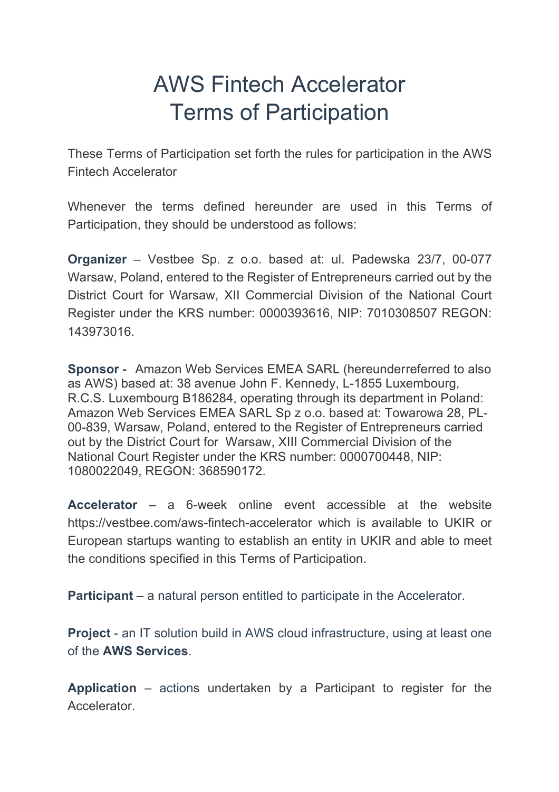# AWS Fintech Accelerator Terms of Participation

These Terms of Participation set forth the rules for participation in the AWS Fintech Accelerator

Whenever the terms defined hereunder are used in this Terms of Participation, they should be understood as follows:

**Organizer** – Vestbee Sp. z o.o. based at: ul. Padewska 23/7, 00-077 Warsaw, Poland, entered to the Register of Entrepreneurs carried out by the District Court for Warsaw, XII Commercial Division of the National Court Register under the KRS number: 0000393616, NIP: 7010308507 REGON: 143973016.

**Sponsor** - Amazon Web Services EMEA SARL (hereunderreferred to also as AWS) based at: 38 avenue John F. Kennedy, L-1855 Luxembourg, R.C.S. Luxembourg B186284, operating through its department in Poland: Amazon Web Services EMEA SARL Sp z o.o. based at: Towarowa 28, PL-00-839, Warsaw, Poland, entered to the Register of Entrepreneurs carried out by the District Court for Warsaw, XIII Commercial Division of the National Court Register under the KRS number: 0000700448, NIP: 1080022049, REGON: 368590172.

**Accelerator** – a 6-week online event accessible at the website https://vestbee.com/aws-fintech-accelerator which is available to UKIR or European startups wanting to establish an entity in UKIR and able to meet the conditions specified in this Terms of Participation.

**Participant** – a natural person entitled to participate in the Accelerator.

**Project** - an IT solution build in AWS cloud infrastructure, using at least one of the **AWS Services**.

**Application** – actions undertaken by a Participant to register for the Accelerator.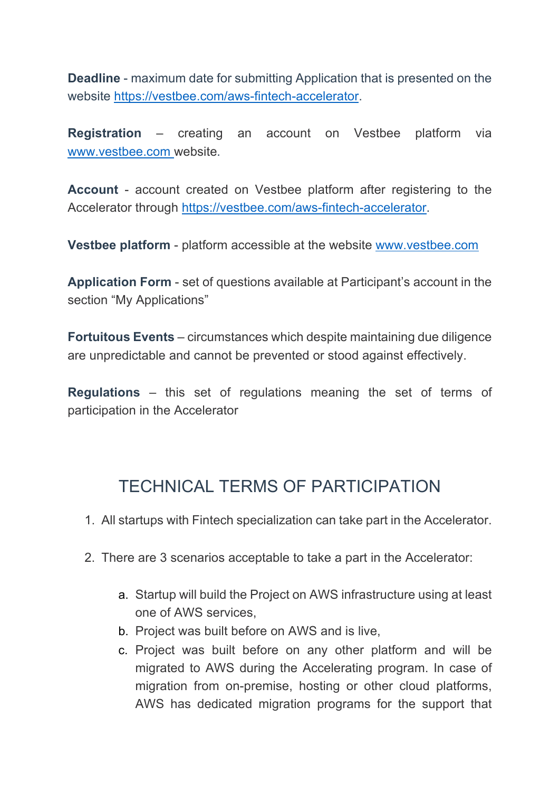**Deadline** - maximum date for submitting Application that is presented on the website https://vestbee.com/aws-fintech-accelerator.

**Registration** – creating an account on Vestbee platform via www.vestbee.com website.

**Account** - account created on Vestbee platform after registering to the Accelerator through https://vestbee.com/aws-fintech-accelerator.

**Vestbee platform** - platform accessible at the website www.vestbee.com

**Application Form** - set of questions available at Participant's account in the section "My Applications"

**Fortuitous Events** – circumstances which despite maintaining due diligence are unpredictable and cannot be prevented or stood against effectively.

**Regulations** – this set of regulations meaning the set of terms of participation in the Accelerator

# TECHNICAL TERMS OF PARTICIPATION

- 1. All startups with Fintech specialization can take part in the Accelerator.
- 2. There are 3 scenarios acceptable to take a part in the Accelerator:
	- a. Startup will build the Project on AWS infrastructure using at least one of AWS services,
	- b. Project was built before on AWS and is live,
	- c. Project was built before on any other platform and will be migrated to AWS during the Accelerating program. In case of migration from on-premise, hosting or other cloud platforms, AWS has dedicated migration programs for the support that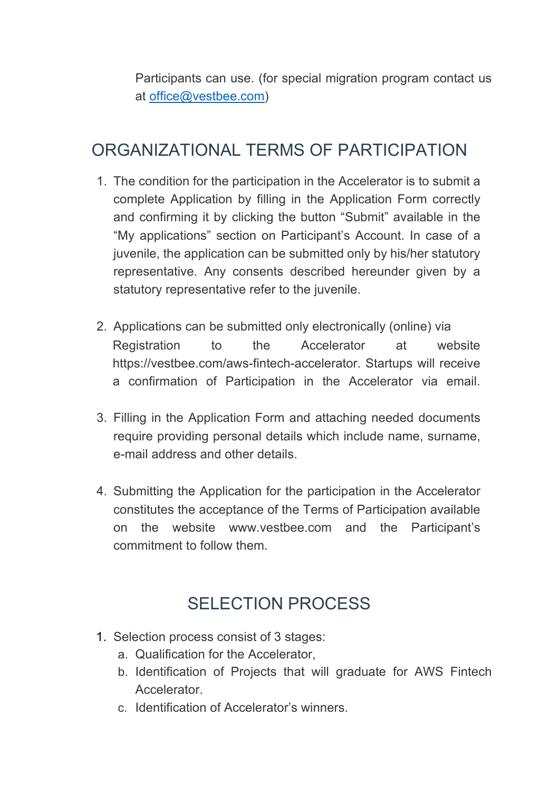Participants can use. (for special migration program contact us at office@vestbee.com)

## ORGANIZATIONAL TERMS OF PARTICIPATION

- 1. The condition for the participation in the Accelerator is to submit a complete Application by filling in the Application Form correctly and confirming it by clicking the button "Submit" available in the "My applications" section on Participant's Account. In case of a juvenile, the application can be submitted only by his/her statutory representative. Any consents described hereunder given by a statutory representative refer to the juvenile.
- 2. Applications can be submitted only electronically (online) via Registration to the Accelerator at website https://vestbee.com/aws-fintech-accelerator. Startups will receive a confirmation of Participation in the Accelerator via email.
- 3. Filling in the Application Form and attaching needed documents require providing personal details which include name, surname, e-mail address and other details.
- 4. Submitting the Application for the participation in the Accelerator constitutes the acceptance of the Terms of Participation available on the website www.vestbee.com and the Participant's commitment to follow them.

# SELECTION PROCESS

- 1. Selection process consist of 3 stages:
	- a. Qualification for the Accelerator,
	- b. Identification of Projects that will graduate for AWS Fintech **Accelerator**
	- c. Identification of Accelerator's winners.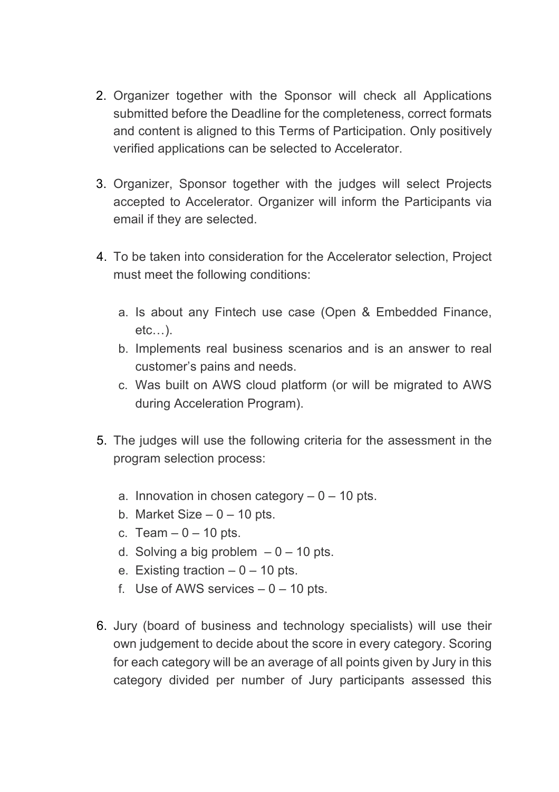- 2. Organizer together with the Sponsor will check all Applications submitted before the Deadline for the completeness, correct formats and content is aligned to this Terms of Participation. Only positively verified applications can be selected to Accelerator.
- 3. Organizer, Sponsor together with the judges will select Projects accepted to Accelerator. Organizer will inform the Participants via email if they are selected.
- 4. To be taken into consideration for the Accelerator selection, Project must meet the following conditions:
	- a. Is about any Fintech use case (Open & Embedded Finance, etc…).
	- b. Implements real business scenarios and is an answer to real customer's pains and needs.
	- c. Was built on AWS cloud platform (or will be migrated to AWS during Acceleration Program).
- 5. The judges will use the following criteria for the assessment in the program selection process:
	- a. Innovation in chosen category  $-0 10$  pts.
	- b. Market Size  $-0 10$  pts.
	- c. Team  $-0 10$  pts.
	- d. Solving a big problem  $-0 10$  pts.
	- e. Existing traction  $-0 10$  pts.
	- f. Use of AWS services  $-0 10$  pts.
- 6. Jury (board of business and technology specialists) will use their own judgement to decide about the score in every category. Scoring for each category will be an average of all points given by Jury in this category divided per number of Jury participants assessed this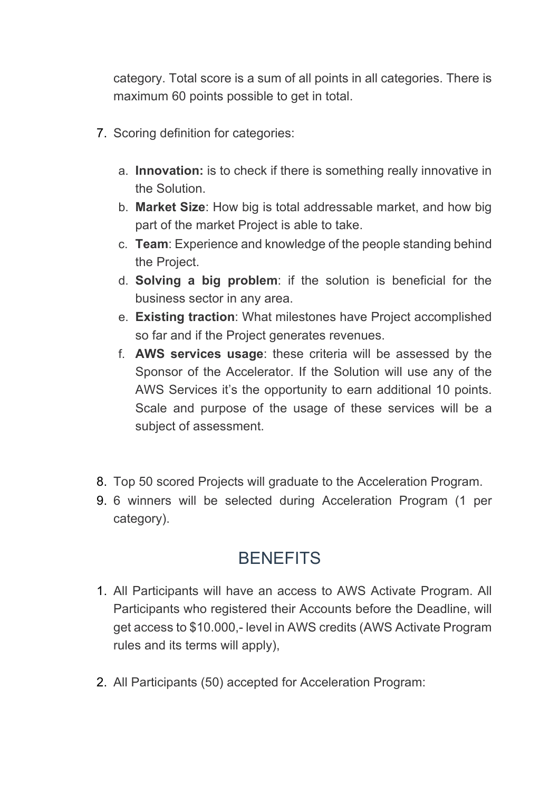category. Total score is a sum of all points in all categories. There is maximum 60 points possible to get in total.

- 7. Scoring definition for categories:
	- a. **Innovation:** is to check if there is something really innovative in the Solution.
	- b. **Market Size**: How big is total addressable market, and how big part of the market Project is able to take.
	- c. **Team**: Experience and knowledge of the people standing behind the Project.
	- d. **Solving a big problem**: if the solution is beneficial for the business sector in any area.
	- e. **Existing traction**: What milestones have Project accomplished so far and if the Project generates revenues.
	- f. **AWS services usage**: these criteria will be assessed by the Sponsor of the Accelerator. If the Solution will use any of the AWS Services it's the opportunity to earn additional 10 points. Scale and purpose of the usage of these services will be a subject of assessment.
- 8. Top 50 scored Projects will graduate to the Acceleration Program.
- 9. 6 winners will be selected during Acceleration Program (1 per category).

### **BENEFITS**

- 1. All Participants will have an access to AWS Activate Program. All Participants who registered their Accounts before the Deadline, will get access to \$10.000,- level in AWS credits (AWS Activate Program rules and its terms will apply),
- 2. All Participants (50) accepted for Acceleration Program: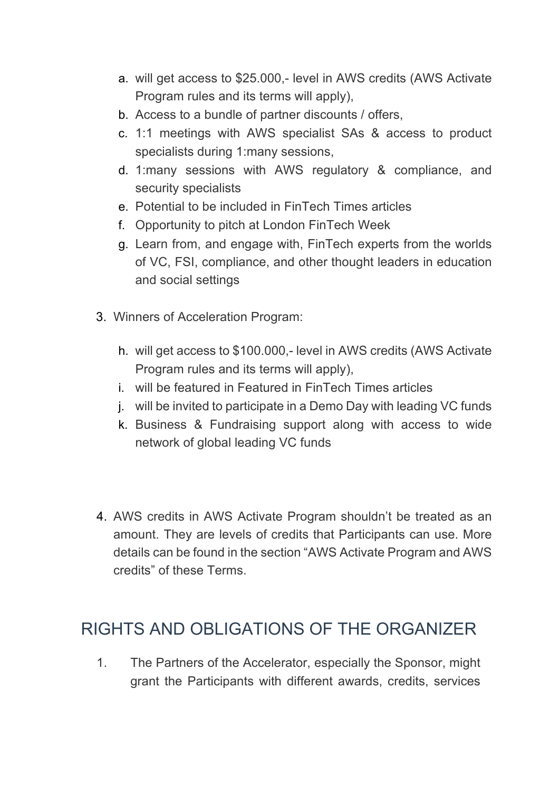- a. will get access to \$25.000,- level in AWS credits (AWS Activate Program rules and its terms will apply),
- b. Access to a bundle of partner discounts / offers,
- c. 1:1 meetings with AWS specialist SAs & access to product specialists during 1:many sessions,
- d. 1:many sessions with AWS regulatory & compliance, and security specialists
- e. Potential to be included in FinTech Times articles
- f. Opportunity to pitch at London FinTech Week
- g. Learn from, and engage with, FinTech experts from the worlds of VC, FSI, compliance, and other thought leaders in education and social settings
- 3. Winners of Acceleration Program:
	- h. will get access to \$100.000,- level in AWS credits (AWS Activate Program rules and its terms will apply),
	- i. will be featured in Featured in FinTech Times articles
	- j. will be invited to participate in a Demo Day with leading VC funds
	- k. Business & Fundraising support along with access to wide network of global leading VC funds
- 4. AWS credits in AWS Activate Program shouldn't be treated as an amount. They are levels of credits that Participants can use. More details can be found in the section "AWS Activate Program and AWS credits" of these Terms.

### RIGHTS AND OBLIGATIONS OF THE ORGANIZER

1. The Partners of the Accelerator, especially the Sponsor, might grant the Participants with different awards, credits, services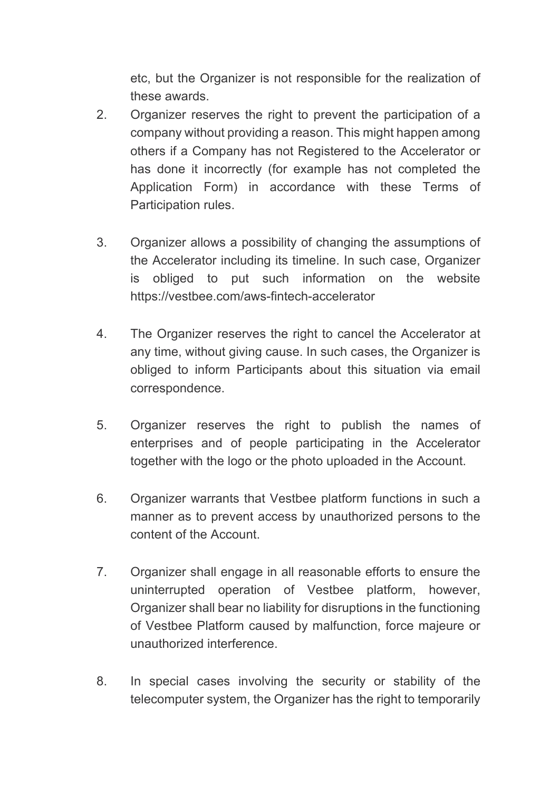etc, but the Organizer is not responsible for the realization of these awards.

- 2. Organizer reserves the right to prevent the participation of a company without providing a reason. This might happen among others if a Company has not Registered to the Accelerator or has done it incorrectly (for example has not completed the Application Form) in accordance with these Terms of Participation rules.
- 3. Organizer allows a possibility of changing the assumptions of the Accelerator including its timeline. In such case, Organizer is obliged to put such information on the website https://vestbee.com/aws-fintech-accelerator
- 4. The Organizer reserves the right to cancel the Accelerator at any time, without giving cause. In such cases, the Organizer is obliged to inform Participants about this situation via email correspondence.
- 5. Organizer reserves the right to publish the names of enterprises and of people participating in the Accelerator together with the logo or the photo uploaded in the Account.
- 6. Organizer warrants that Vestbee platform functions in such a manner as to prevent access by unauthorized persons to the content of the Account.
- 7. Organizer shall engage in all reasonable efforts to ensure the uninterrupted operation of Vestbee platform, however, Organizer shall bear no liability for disruptions in the functioning of Vestbee Platform caused by malfunction, force majeure or unauthorized interference.
- 8. In special cases involving the security or stability of the telecomputer system, the Organizer has the right to temporarily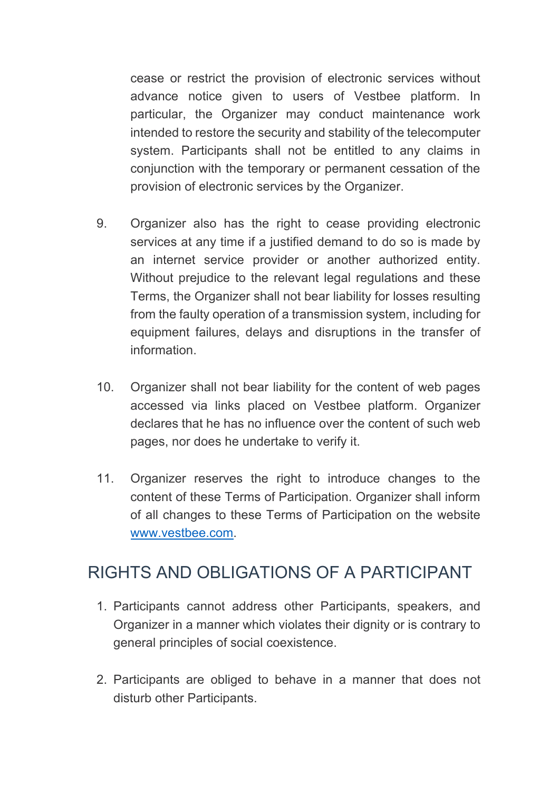cease or restrict the provision of electronic services without advance notice given to users of Vestbee platform. In particular, the Organizer may conduct maintenance work intended to restore the security and stability of the telecomputer system. Participants shall not be entitled to any claims in conjunction with the temporary or permanent cessation of the provision of electronic services by the Organizer.

- 9. Organizer also has the right to cease providing electronic services at any time if a justified demand to do so is made by an internet service provider or another authorized entity. Without prejudice to the relevant legal regulations and these Terms, the Organizer shall not bear liability for losses resulting from the faulty operation of a transmission system, including for equipment failures, delays and disruptions in the transfer of information.
- 10. Organizer shall not bear liability for the content of web pages accessed via links placed on Vestbee platform. Organizer declares that he has no influence over the content of such web pages, nor does he undertake to verify it.
- 11. Organizer reserves the right to introduce changes to the content of these Terms of Participation. Organizer shall inform of all changes to these Terms of Participation on the website www.vestbee.com.

### RIGHTS AND OBLIGATIONS OF A PARTICIPANT

- 1. Participants cannot address other Participants, speakers, and Organizer in a manner which violates their dignity or is contrary to general principles of social coexistence.
- 2. Participants are obliged to behave in a manner that does not disturb other Participants.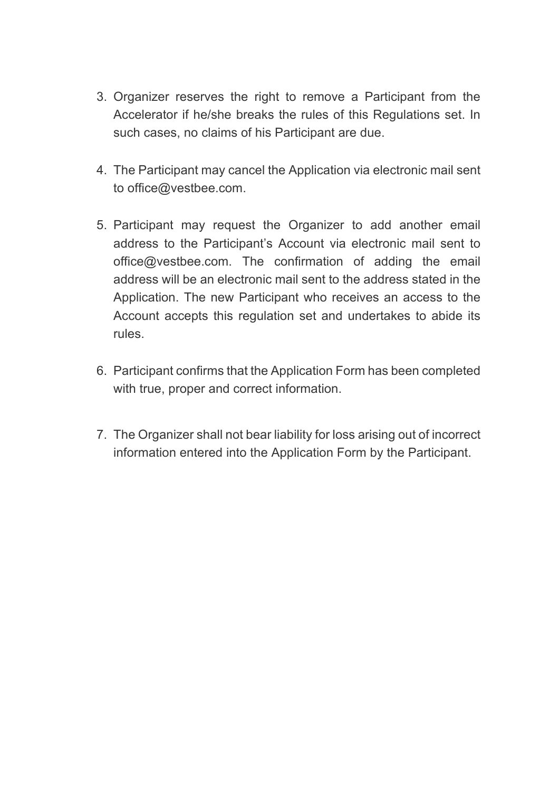- 3. Organizer reserves the right to remove a Participant from the Accelerator if he/she breaks the rules of this Regulations set. In such cases, no claims of his Participant are due.
- 4. The Participant may cancel the Application via electronic mail sent to office@vestbee.com.
- 5. Participant may request the Organizer to add another email address to the Participant's Account via electronic mail sent to office@vestbee.com. The confirmation of adding the email address will be an electronic mail sent to the address stated in the Application. The new Participant who receives an access to the Account accepts this regulation set and undertakes to abide its rules.
- 6. Participant confirms that the Application Form has been completed with true, proper and correct information.
- 7. The Organizer shall not bear liability for loss arising out of incorrect information entered into the Application Form by the Participant.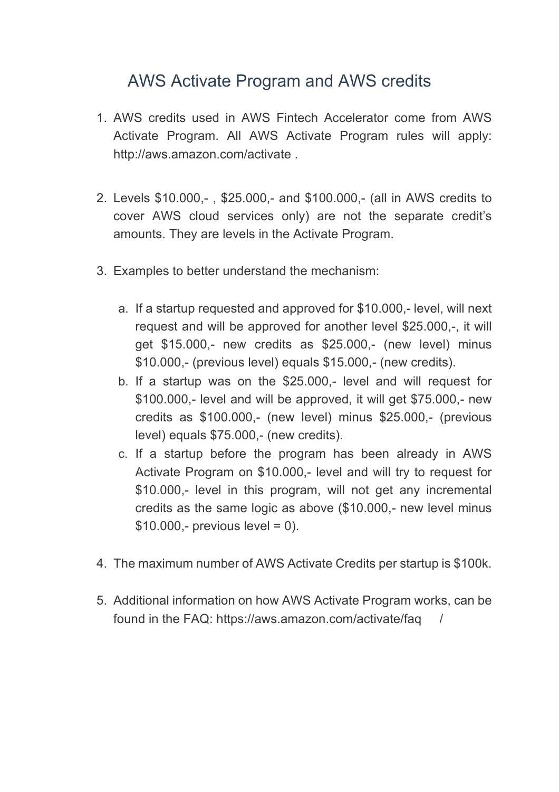#### AWS Activate Program and AWS credits

- 1. AWS credits used in AWS Fintech Accelerator come from AWS Activate Program. All AWS Activate Program rules will apply: http://aws.amazon.com/activate .
- 2. Levels \$10.000,- , \$25.000,- and \$100.000,- (all in AWS credits to cover AWS cloud services only) are not the separate credit's amounts. They are levels in the Activate Program.
- 3. Examples to better understand the mechanism:
	- a. If a startup requested and approved for \$10.000,- level, will next request and will be approved for another level \$25.000,-, it will get \$15.000,- new credits as \$25.000,- (new level) minus \$10.000,- (previous level) equals \$15.000,- (new credits).
	- b. If a startup was on the \$25.000,- level and will request for \$100.000,- level and will be approved, it will get \$75.000,- new credits as \$100.000,- (new level) minus \$25.000,- (previous level) equals \$75.000,- (new credits).
	- c. If a startup before the program has been already in AWS Activate Program on \$10.000,- level and will try to request for \$10.000,- level in this program, will not get any incremental credits as the same logic as above (\$10.000,- new level minus  $$10.000,-$  previous level = 0).
- 4. The maximum number of AWS Activate Credits per startup is \$100k.
- 5. Additional information on how AWS Activate Program works, can be found in the FAQ: https://aws.amazon.com/activate/faq /